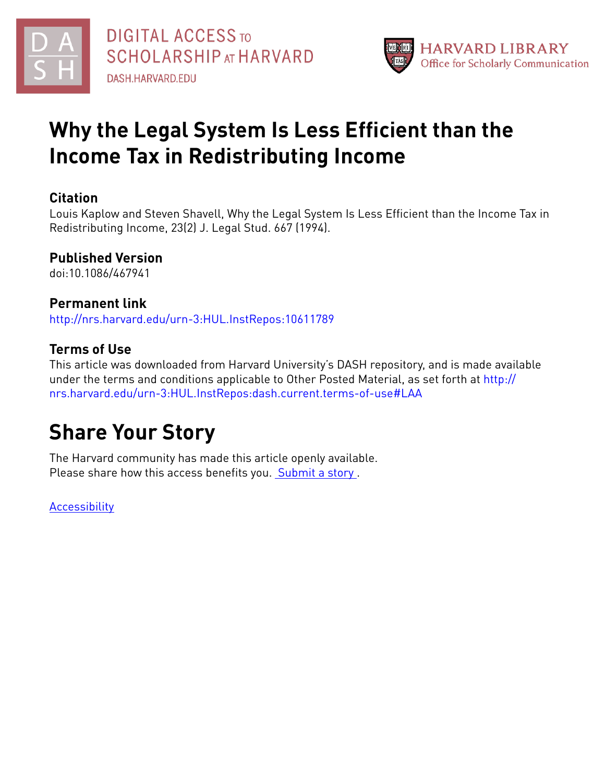



# **Why the Legal System Is Less Efficient than the Income Tax in Redistributing Income**

## **Citation**

Louis Kaplow and Steven Shavell, Why the Legal System Is Less Efficient than the Income Tax in Redistributing Income, 23(2) J. Legal Stud. 667 (1994).

# **Published Version**

doi:10.1086/467941

## **Permanent link**

<http://nrs.harvard.edu/urn-3:HUL.InstRepos:10611789>

# **Terms of Use**

This article was downloaded from Harvard University's DASH repository, and is made available under the terms and conditions applicable to Other Posted Material, as set forth at [http://](http://nrs.harvard.edu/urn-3:HUL.InstRepos:dash.current.terms-of-use#LAA) [nrs.harvard.edu/urn-3:HUL.InstRepos:dash.current.terms-of-use#LAA](http://nrs.harvard.edu/urn-3:HUL.InstRepos:dash.current.terms-of-use#LAA)

# **Share Your Story**

The Harvard community has made this article openly available. Please share how this access benefits you. [Submit](http://osc.hul.harvard.edu/dash/open-access-feedback?handle=&title=Why%20the%20Legal%20System%20Is%20Less%20Efficient%20than%20the%20Income%20Tax%20in%20Redistributing%20Income&community=1/7&collection=1/8&owningCollection1/8&harvardAuthors=627fd7dda6e9f2174a0b8438d1bb2787&department) a story.

**[Accessibility](https://dash.harvard.edu/pages/accessibility)**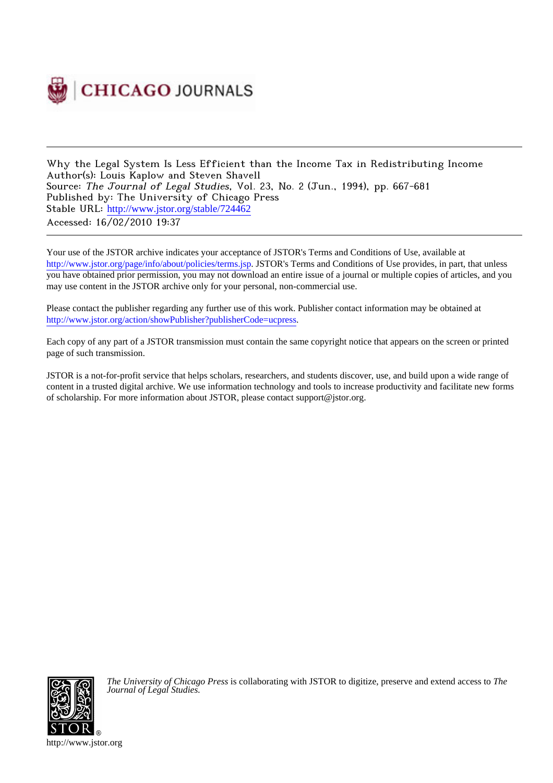

Why the Legal System Is Less Efficient than the Income Tax in Redistributing Income Author(s): Louis Kaplow and Steven Shavell Source: The Journal of Legal Studies, Vol. 23, No. 2 (Jun., 1994), pp. 667-681 Published by: The University of Chicago Press Stable URL: [http://www.jstor.org/stable/724462](http://www.jstor.org/stable/724462?origin=JSTOR-pdf) Accessed: 16/02/2010 19:37

Your use of the JSTOR archive indicates your acceptance of JSTOR's Terms and Conditions of Use, available at <http://www.jstor.org/page/info/about/policies/terms.jsp>. JSTOR's Terms and Conditions of Use provides, in part, that unless you have obtained prior permission, you may not download an entire issue of a journal or multiple copies of articles, and you may use content in the JSTOR archive only for your personal, non-commercial use.

Please contact the publisher regarding any further use of this work. Publisher contact information may be obtained at [http://www.jstor.org/action/showPublisher?publisherCode=ucpress.](http://www.jstor.org/action/showPublisher?publisherCode=ucpress)

Each copy of any part of a JSTOR transmission must contain the same copyright notice that appears on the screen or printed page of such transmission.

JSTOR is a not-for-profit service that helps scholars, researchers, and students discover, use, and build upon a wide range of content in a trusted digital archive. We use information technology and tools to increase productivity and facilitate new forms of scholarship. For more information about JSTOR, please contact support@jstor.org.



*The University of Chicago Press* is collaborating with JSTOR to digitize, preserve and extend access to *The Journal of Legal Studies.*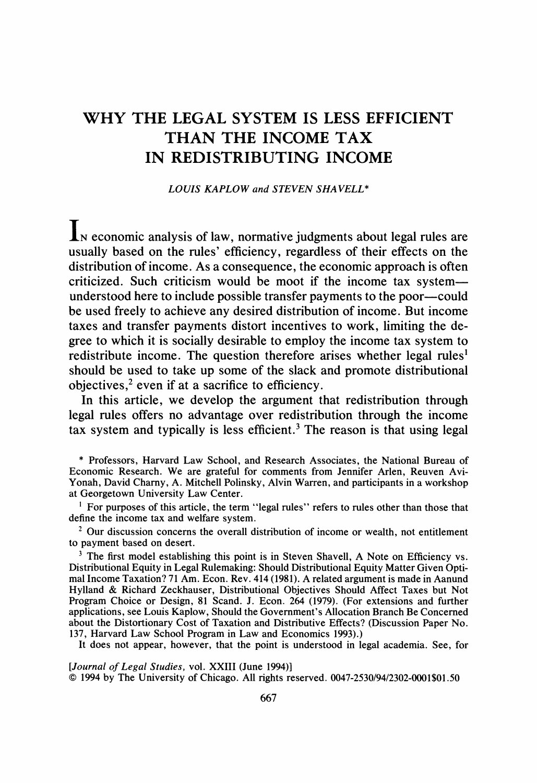## **WHY THE LEGAL SYSTEM IS LESS EFFICIENT THAN THE INCOME TAX IN REDISTRIBUTING INCOME**

**LOUIS KAPLOW and STEVEN SHAVELL\*** 

**IN economic analysis of law, normative judgments about legal rules are usually based on the rules' efficiency, regardless of their effects on the distribution of income. As a consequence, the economic approach is often criticized. Such criticism would be moot if the income tax systemunderstood here to include possible transfer payments to the poor-could be used freely to achieve any desired distribution of income. But income taxes and transfer payments distort incentives to work, limiting the degree to which it is socially desirable to employ the income tax system to redistribute income. The question therefore arises whether legal rules1 should be used to take up some of the slack and promote distributional objectives,2 even if at a sacrifice to efficiency.** 

**In this article, we develop the argument that redistribution through legal rules offers no advantage over redistribution through the income tax system and typically is less efficient.3 The reason is that using legal** 

**\* Professors, Harvard Law School, and Research Associates, the National Bureau of Economic Research. We are grateful for comments from Jennifer Arlen, Reuven Avi-Yonah, David Charny, A. Mitchell Polinsky, Alvin Warren, and participants in a workshop at Georgetown University Law Center.** 

<sup>1</sup> For purposes of this article, the term "legal rules" refers to rules other than those that **define the income tax and welfare system.** 

**2 Our discussion concerns the overall distribution of income or wealth, not entitlement to payment based on desert.** 

<sup>3</sup> The first model establishing this point is in Steven Shavell, A Note on Efficiency vs. **Distributional Equity in Legal Rulemaking: Should Distributional Equity Matter Given Optimal Income Taxation? 71 Am. Econ. Rev. 414 (1981). A related argument is made in Aanund Hylland & Richard Zeckhauser, Distributional Objectives Should Affect Taxes but Not Program Choice or Design, 81 Scand. J. Econ. 264 (1979). (For extensions and further applications, see Louis Kaplow, Should the Government's Allocation Branch Be Concerned about the Distortionary Cost of Taxation and Distributive Effects? (Discussion Paper No. 137, Harvard Law School Program in Law and Economics 1993).)** 

**It does not appear, however, that the point is understood in legal academia. See, for** 

**[Journal of Legal Studies, vol. XXIII (June 1994)] ? 1994 by The University of Chicago. All rights reserved. 0047-2530/94/2302-0001\$01.50**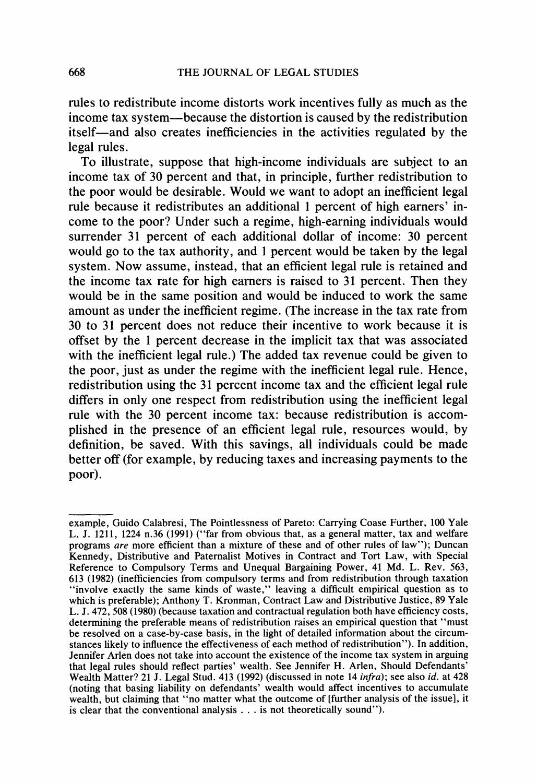**rules to redistribute income distorts work incentives fully as much as the income tax system-because the distortion is caused by the redistribution itself--and also creates inefficiencies in the activities regulated by the legal rules.** 

**To illustrate, suppose that high-income individuals are subject to an income tax of 30 percent and that, in principle, further redistribution to the poor would be desirable. Would we want to adopt an inefficient legal rule because it redistributes an additional 1 percent of high earners' income to the poor? Under such a regime, high-earning individuals would surrender 31 percent of each additional dollar of income: 30 percent would go to the tax authority, and 1 percent would be taken by the legal system. Now assume, instead, that an efficient legal rule is retained and the income tax rate for high earners is raised to 31 percent. Then they would be in the same position and would be induced to work the same amount as under the inefficient regime. (The increase in the tax rate from 30 to 31 percent does not reduce their incentive to work because it is offset by the 1 percent decrease in the implicit tax that was associated with the inefficient legal rule.) The added tax revenue could be given to the poor, just as under the regime with the inefficient legal rule. Hence, redistribution using the 31 percent income tax and the efficient legal rule differs in only one respect from redistribution using the inefficient legal rule with the 30 percent income tax: because redistribution is accomplished in the presence of an efficient legal rule, resources would, by definition, be saved. With this savings, all individuals could be made better off (for example, by reducing taxes and increasing payments to the poor).** 

**example, Guido Calabresi, The Pointlessness of Pareto: Carrying Coase Further, 100 Yale L. J. 1211, 1224 n.36 (1991) ("far from obvious that, as a general matter, tax and welfare programs are more efficient than a mixture of these and of other rules of law"); Duncan Kennedy, Distributive and Paternalist Motives in Contract and Tort Law, with Special Reference to Compulsory Terms and Unequal Bargaining Power, 41 Md. L. Rev. 563, 613 (1982) (inefficiencies from compulsory terms and from redistribution through taxation "involve exactly the same kinds of waste," leaving a difficult empirical question as to which is preferable); Anthony T. Kronman, Contract Law and Distributive Justice, 89 Yale L. J. 472, 508 (1980) (because taxation and contractual regulation both have efficiency costs, determining the preferable means of redistribution raises an empirical question that "must be resolved on a case-by-case basis, in the light of detailed information about the circumstances likely to influence the effectiveness of each method of redistribution"). In addition, Jennifer Arlen does not take into account the existence of the income tax system in arguing that legal rules should reflect parties' wealth. See Jennifer H. Arlen, Should Defendants' Wealth Matter? 21 J. Legal Stud. 413 (1992) (discussed in note 14 infra); see also id. at 428 (noting that basing liability on defendants' wealth would affect incentives to accumulate wealth, but claiming that "no matter what the outcome of [further analysis of the issue], it is clear that the conventional analysis ... is not theoretically sound").**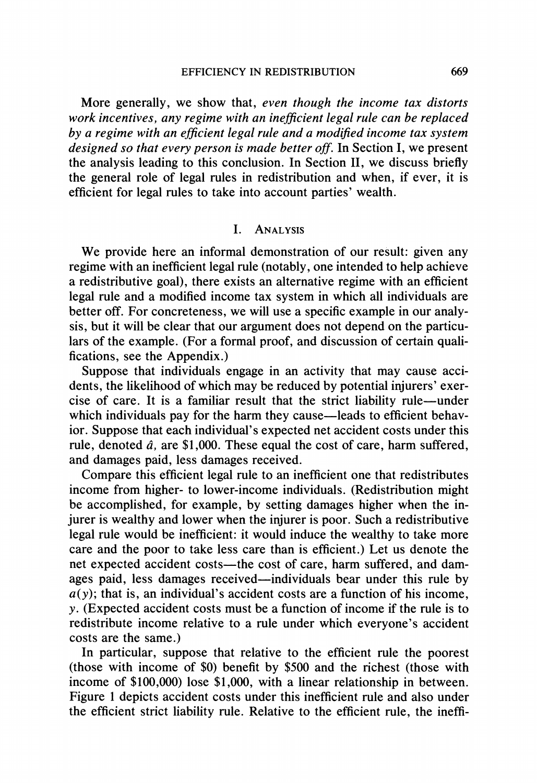**More generally, we show that, even though the income tax distorts work incentives, any regime with an inefficient legal rule can be replaced by a regime with an efficient legal rule and a modified income tax system designed so that every person is made better off. In Section I, we present the analysis leading to this conclusion. In Section II, we discuss briefly the general role of legal rules in redistribution and when, if ever, it is efficient for legal rules to take into account parties' wealth.** 

## **I. ANALYSIS**

**We provide here an informal demonstration of our result: given any regime with an inefficient legal rule (notably, one intended to help achieve a redistributive goal), there exists an alternative regime with an efficient legal rule and a modified income tax system in which all individuals are better off. For concreteness, we will use a specific example in our analysis, but it will be clear that our argument does not depend on the particulars of the example. (For a formal proof, and discussion of certain qualifications, see the Appendix.)** 

**Suppose that individuals engage in an activity that may cause accidents, the likelihood of which may be reduced by potential injurers' exercise of care. It is a familiar result that the strict liability rule-under**  which individuals pay for the harm they cause—leads to efficient behav**ior. Suppose that each individual's expected net accident costs under this rule, denoted a, are \$1,000. These equal the cost of care, harm suffered, and damages paid, less damages received.** 

**Compare this efficient legal rule to an inefficient one that redistributes income from higher- to lower-income individuals. (Redistribution might be accomplished, for example, by setting damages higher when the injurer is wealthy and lower when the injurer is poor. Such a redistributive legal rule would be inefficient: it would induce the wealthy to take more care and the poor to take less care than is efficient.) Let us denote the**  net expected accident costs-the cost of care, harm suffered, and dam**ages paid, less damages received-individuals bear under this rule by a(y); that is, an individual's accident costs are a function of his income, y. (Expected accident costs must be a function of income if the rule is to redistribute income relative to a rule under which everyone's accident costs are the same.)** 

**In particular, suppose that relative to the efficient rule the poorest (those with income of \$0) benefit by \$500 and the richest (those with income of \$100,000) lose \$1,000, with a linear relationship in between. Figure 1 depicts accident costs under this inefficient rule and also under the efficient strict liability rule. Relative to the efficient rule, the ineffi-**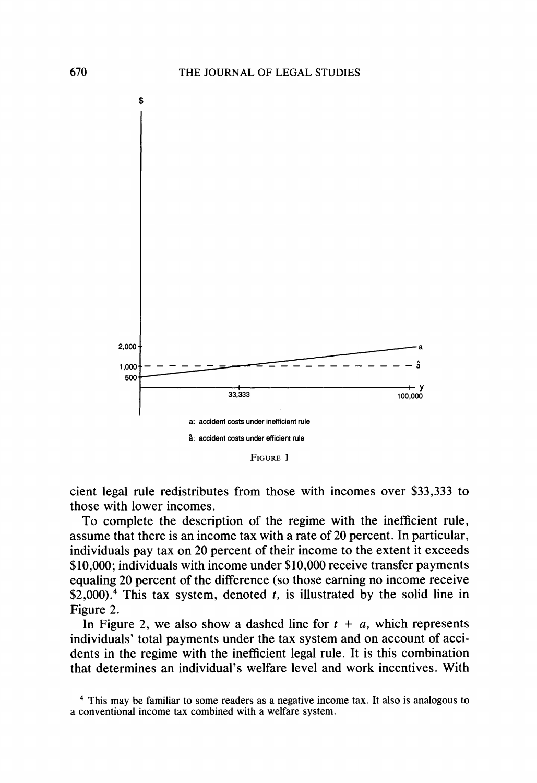

**FIGURE 1** 

**cient legal rule redistributes from those with incomes over \$33,333 to those with lower incomes.** 

**To complete the description of the regime with the inefficient rule, assume that there is an income tax with a rate of 20 percent. In particular, individuals pay tax on 20 percent of their income to the extent it exceeds \$10,000; individuals with income under \$10,000 receive transfer payments equaling 20 percent of the difference (so those earning no income receive \$2,000).4 This tax system, denoted t, is illustrated by the solid line in Figure 2.** 

In Figure 2, we also show a dashed line for  $t + a$ , which represents **individuals' total payments under the tax system and on account of accidents in the regime with the inefficient legal rule. It is this combination that determines an individual's welfare level and work incentives. With** 

**<sup>4</sup> This may be familiar to some readers as a negative income tax. It also is analogous to a conventional income tax combined with a welfare system.**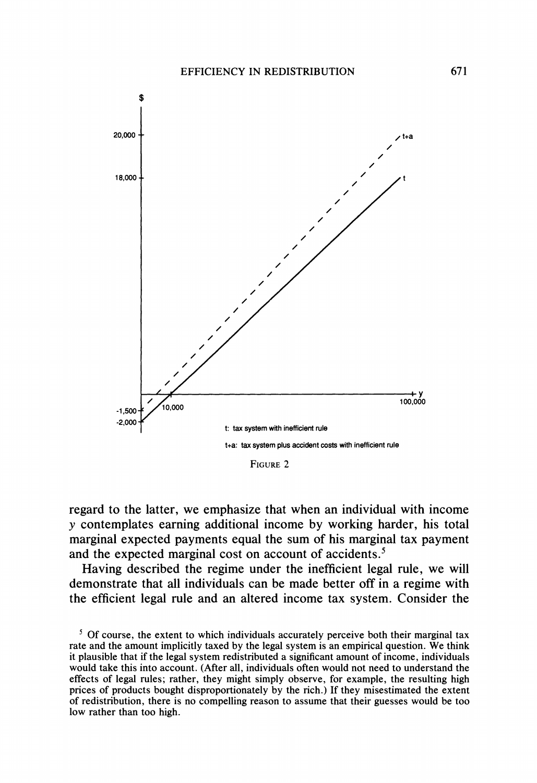

**FIGURE 2** 

**regard to the latter, we emphasize that when an individual with income y contemplates earning additional income by working harder, his total marginal expected payments equal the sum of his marginal tax payment and the expected marginal cost on account of accidents.5** 

**Having described the regime under the inefficient legal rule, we will demonstrate that all individuals can be made better off in a regime with the efficient legal rule and an altered income tax system. Consider the** 

**<sup>5</sup> Of course, the extent to which individuals accurately perceive both their marginal tax rate and the amount implicitly taxed by the legal system is an empirical question. We think it plausible that if the legal system redistributed a significant amount of income, individuals would take this into account. (After all, individuals often would not need to understand the effects of legal rules; rather, they might simply observe, for example, the resulting high prices of products bought disproportionately by the rich.) If they misestimated the extent of redistribution, there is no compelling reason to assume that their guesses would be too low rather than too high.**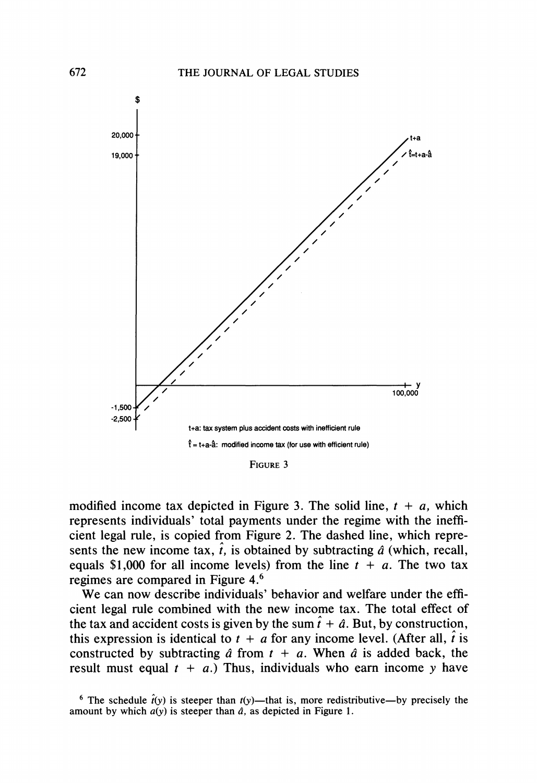

**FIGURE 3** 

modified income tax depicted in Figure 3. The solid line,  $t + a$ , which **represents individuals' total payments under the regime with the inefficient legal rule, is copied from Figure 2. The dashed line, which repre**sents the new income tax,  $\hat{t}$ , is obtained by subtracting  $\hat{a}$  (which, recall, equals \$1,000 for all income levels) from the line  $t + a$ . The two tax **regimes are compared in Figure 4.6** 

**We can now describe individuals' behavior and welfare under the efficient legal rule combined with the new income tax. The total effect of**  the tax and accident costs is given by the sum  $\hat{t} + \hat{a}$ . But, by construction, this expression is identical to  $t + a$  for any income level. (After all,  $\hat{t}$  is constructed by subtracting  $\hat{a}$  from  $t + a$ . When  $\hat{a}$  is added back, the result must equal  $t + a$ .) Thus, individuals who earn income y have

<sup>&</sup>lt;sup>6</sup> The schedule  $\hat{t}(y)$  is steeper than  $t(y)$ —that is, more redistributive—by precisely the amount by which  $a(y)$  is steeper than  $\hat{a}$ , as depicted in Figure 1.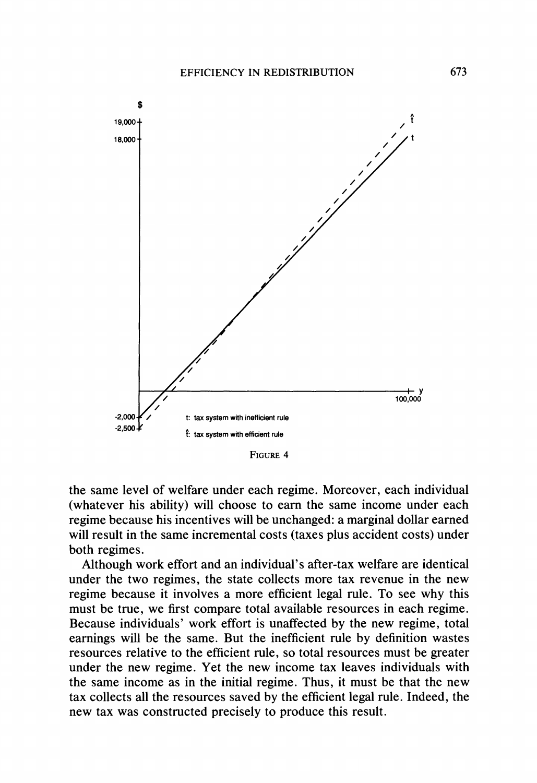

**FIGURE 4** 

**the same level of welfare under each regime. Moreover, each individual (whatever his ability) will choose to earn the same income under each regime because his incentives will be unchanged' a marginal dollar earned will result in the same incremental costs (taxes plus accident costs) under both regimes.** 

**Although work effort and an individual's after-tax welfare are identical under the two regimes, the state collects more tax revenue in the new regime because it involves a more efficient legal rule. To see why this must be true, we first compare total available resources in each regime. Because individuals' work effort is unaffected by the new regime, total earnings will be the same. But the inefficient role by definition wastes resources relative to the efficient role, so total resources must be greater under the new regime. Yet the new income tax leaves individuals with the same income as in the initial regime. Thus, it must be that the new tax collects all the resources saved by the efficient legal rule. Indeed, the new tax was constructed precisely to produce this result.**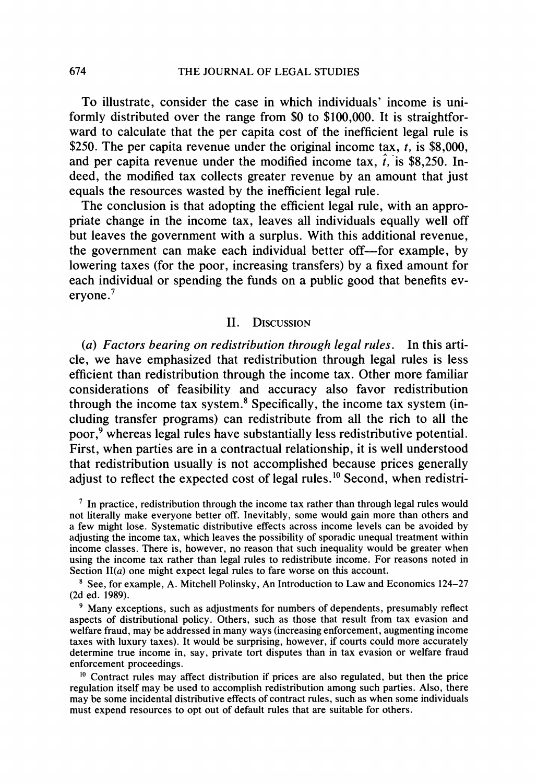**To illustrate, consider the case in which individuals' income is uniformly distributed over the range from \$0 to \$100,000. It is straightforward to calculate that the per capita cost of the inefficient legal rule is \$250. The per capita revenue under the original income tax, t, is \$8,000,**  and per capita revenue under the modified income tax,  $\hat{t}$ , is \$8,250. In**deed, the modified tax collects greater revenue by an amount that just equals the resources wasted by the inefficient legal rule.** 

**The conclusion is that adopting the efficient legal rule, with an appropriate change in the income tax, leaves all individuals equally well off but leaves the government with a surplus. With this additional revenue,**  the government can make each individual better of f—for example, by **lowering taxes (for the poor, increasing transfers) by a fixed amount for each individual or spending the funds on a public good that benefits everyone.7** 

## **II. DISCUSSION**

**(a) Factors bearing on redistribution through legal rules. In this article, we have emphasized that redistribution through legal rules is less efficient than redistribution through the income tax. Other more familiar considerations of feasibility and accuracy also favor redistribution through the income tax system.8 Specifically, the income tax system (including transfer programs) can redistribute from all the rich to all the poor,9 whereas legal rules have substantially less redistributive potential. First, when parties are in a contractual relationship, it is well understood that redistribution usually is not accomplished because prices generally adjust to reflect the expected cost of legal rules.1? Second, when redistri-**

**<sup>7</sup> In practice, redistribution through the income tax rather than through legal rules would not literally make everyone better off. Inevitably, some would gain more than others and a few might lose. Systematic distributive effects across income levels can be avoided by adjusting the income tax, which leaves the possibility of sporadic unequal treatment within income classes. There is, however, no reason that such inequality would be greater when using the income tax rather than legal rules to redistribute income. For reasons noted in Section II(a) one might expect legal rules to fare worse on this account.** 

**<sup>8</sup> See, for example, A. Mitchell Polinsky, An Introduction to Law and Economics 124-27 (2d ed. 1989).** 

**<sup>9</sup> Many exceptions, such as adjustments for numbers of dependents, presumably reflect aspects of distributional policy. Others, such as those that result from tax evasion and welfare fraud, may be addressed in many ways (increasing enforcement, augmenting income taxes with luxury taxes). It would be surprising, however, if courts could more accurately determine true income in, say, private tort disputes than in tax evasion or welfare fraud enforcement proceedings.** 

**<sup>10</sup> Contract rules may affect distribution if prices are also regulated, but then the price regulation itself may be used to accomplish redistribution among such parties. Also, there may be some incidental distributive effects of contract rules, such as when some individuals must expend resources to opt out of default rules that are suitable for others.**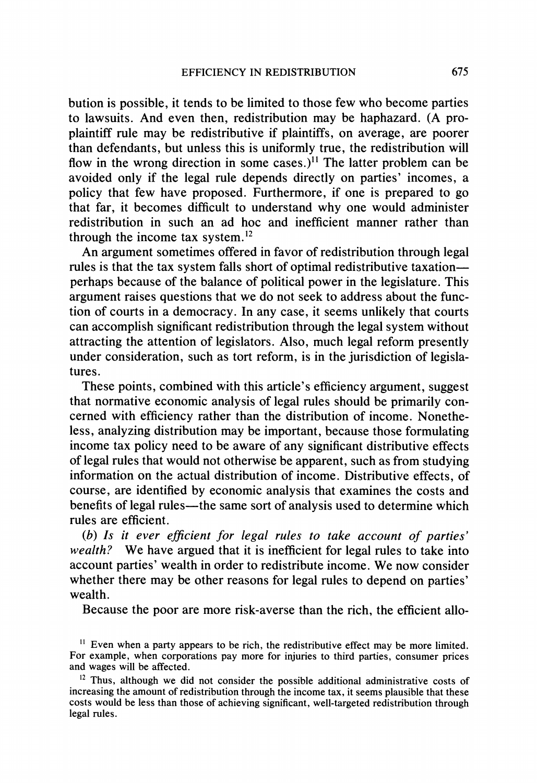**bution is possible, it tends to be limited to those few who become parties to lawsuits. And even then, redistribution may be haphazard. (A proplaintiff rule may be redistributive if plaintiffs, on average, are poorer than defendants, but unless this is uniformly true, the redistribution will**  flow in the wrong direction in some cases.)<sup>11</sup> The latter problem can be **avoided only if the legal rule depends directly on parties' incomes, a policy that few have proposed. Furthermore, if one is prepared to go that far, it becomes difficult to understand why one would administer redistribution in such an ad hoc and inefficient manner rather than through the income tax system.12** 

**An argument sometimes offered in favor of redistribution through legal rules is that the tax system falls short of optimal redistributive taxationperhaps because of the balance of political power in the legislature. This argument raises questions that we do not seek to address about the function of courts in a democracy. In any case, it seems unlikely that courts can accomplish significant redistribution through the legal system without attracting the attention of legislators. Also, much legal reform presently under consideration, such as tort reform, is in the jurisdiction of legislatures.** 

**These points, combined with this article's efficiency argument, suggest that normative economic analysis of legal rules should be primarily concerned with efficiency rather than the distribution of income. Nonetheless, analyzing distribution may be important, because those formulating income tax policy need to be aware of any significant distributive effects of legal rules that would not otherwise be apparent, such as from studying information on the actual distribution of income. Distributive effects, of course, are identified by economic analysis that examines the costs and**  benefits of legal rules—the same sort of analysis used to determine which **rules are efficient.** 

**(b) Is it ever efficient for legal rules to take account of parties' wealth? We have argued that it is inefficient for legal rules to take into account parties' wealth in order to redistribute income. We now consider whether there may be other reasons for legal rules to depend on parties' wealth.** 

**Because the poor are more risk-averse than the rich, the efficient allo-**

 $\mu$  Even when a party appears to be rich, the redistributive effect may be more limited. **For example, when corporations pay more for injuries to third parties, consumer prices and wages will be affected.** 

**<sup>12</sup> Thus, although we did not consider the possible additional administrative costs of increasing the amount of redistribution through the income tax, it seems plausible that these costs would be less than those of achieving significant, well-targeted redistribution through legal rules.**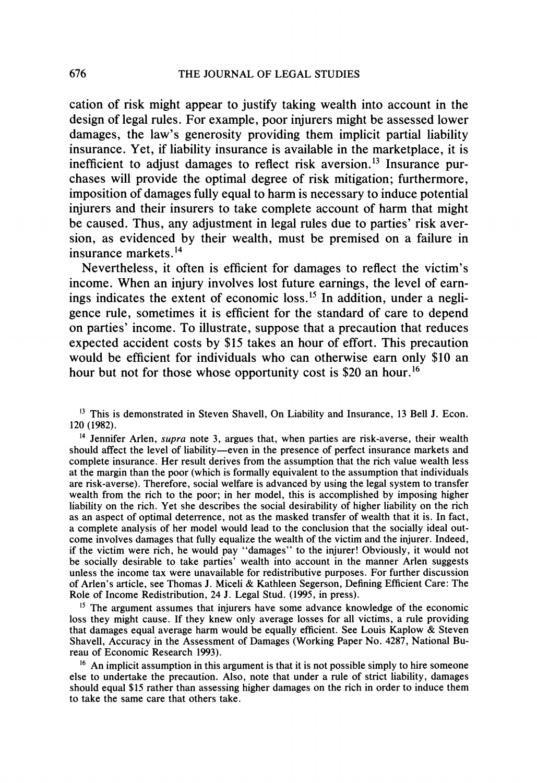**cation of risk might appear to justify taking wealth into account in the design of legal rules. For example, poor injurers might be assessed lower damages, the law's generosity providing them implicit partial liability insurance. Yet, if liability insurance is available in the marketplace, it is inefficient to adjust damages to reflect risk aversion.'3 Insurance purchases will provide the optimal degree of risk mitigation; furthermore, imposition of damages fully equal to harm is necessary to induce potential injurers and their insurers to take complete account of harm that might be caused. Thus, any adjustment in legal rules due to parties' risk aversion, as evidenced by their wealth, must be premised on a failure in insurance markets.'4** 

**Nevertheless, it often is efficient for damages to reflect the victim's income. When an injury involves lost future earnings, the level of earnings indicates the extent of economic loss.15 In addition, under a negligence rule, sometimes it is efficient for the standard of care to depend on parties' income. To illustrate, suppose that a precaution that reduces expected accident costs by \$15 takes an hour of effort. This precaution would be efficient for individuals who can otherwise earn only \$10 an hour but not for those whose opportunity cost is \$20 an hour.16** 

**13 This is demonstrated in Steven Shavell, On Liability and Insurance, 13 Bell J. Econ. 120 (1982).** 

**14 Jennifer Arlen, supra note 3, argues that, when parties are risk-averse, their wealth should affect the level of liability-even in the presence of perfect insurance markets and complete insurance. Her result derives from the assumption that the rich value wealth less at the margin than the poor (which is formally equivalent to the assumption that individuals are risk-averse). Therefore, social welfare is advanced by using the legal system to transfer wealth from the rich to the poor; in her model, this is accomplished by imposing higher liability on the rich. Yet she describes the social desirability of higher liability on the rich as an aspect of optimal deterrence, not as the masked transfer of wealth that it is. In fact, a complete analysis of her model would lead to the conclusion that the socially ideal outcome involves damages that fully equalize the wealth of the victim and the injurer. Indeed, if the victim were rich, he would pay "damages" to the injurer! Obviously, it would not be socially desirable to take parties' wealth into account in the manner Arlen suggests unless the income tax were unavailable for redistributive purposes. For further discussion of Arlen's article, see Thomas J. Miceli & Kathleen Segerson, Defining Efficient Care: The Role of Income Redistribution, 24 J. Legal Stud. (1995, in press).** 

**<sup>15</sup>The argument assumes that injurers have some advance knowledge of the economic loss they might cause. If they knew only average losses for all victims, a rule providing that damages equal average harm would be equally efficient. See Louis Kaplow & Steven Shavell, Accuracy in the Assessment of Damages (Working Paper No. 4287, National Bureau of Economic Research 1993).** 

**16 An implicit assumption in this argument is that it is not possible simply to hire someone else to undertake the precaution. Also, note that under a rule of strict liability, damages should equal \$15 rather than assessing higher damages on the rich in order to induce them to take the same care that others take.**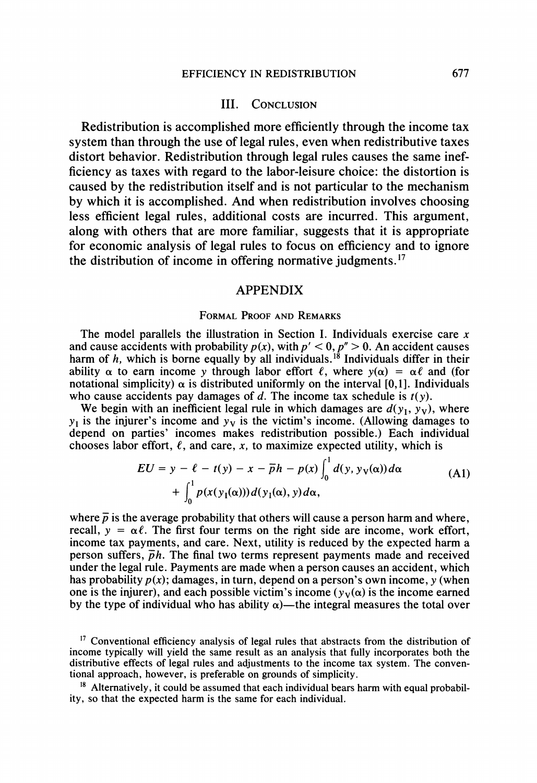## **III. CONCLUSION**

**Redistribution is accomplished more efficiently through the income tax system than through the use of legal rules, even when redistributive taxes distort behavior. Redistribution through legal rules causes the same inefficiency as taxes with regard to the labor-leisure choice: the distortion is caused by the redistribution itself and is not particular to the mechanism by which it is accomplished. And when redistribution involves choosing less efficient legal rules, additional costs are incurred. This argument, along with others that are more familiar, suggests that it is appropriate for economic analysis of legal rules to focus on efficiency and to ignore the distribution of income in offering normative judgments.'7** 

## **APPENDIX**

#### **FORMAL PROOF AND REMARKS**

**The model parallels the illustration in Section I. Individuals exercise care x**  and cause accidents with probability  $p(x)$ , with  $p' < 0$ ,  $p'' > 0$ . An accident causes harm of h, which is borne equally by all individuals.<sup>18</sup> Individuals differ in their ability  $\alpha$  to earn income y through labor effort  $\ell$ , where  $y(\alpha) = \alpha \ell$  and (for notational simplicity)  $\alpha$  is distributed uniformly on the interval [0,1]. Individuals who cause accidents pay damages of  $d$ . The income tax schedule is  $t(y)$ .

We begin with an inefficient legal rule in which damages are  $d(y_1, y_2)$ , where  $y_1$  is the injurer's income and  $y_1$  is the victim's income. (Allowing damages to **depend on parties' incomes makes redistribution possible.) Each individual**  chooses labor effort,  $\ell$ , and care, x, to maximize expected utility, which is

$$
EU = y - \ell - t(y) - x - \overline{p}h - p(x)\int_0^1 d(y, y_V(\alpha)) d\alpha
$$
  
+ 
$$
\int_0^1 p(x(y_1(\alpha)))d(y_1(\alpha), y)d\alpha,
$$
 (A1)

where  $\bar{p}$  is the average probability that others will cause a person harm and where, recall,  $y = \alpha \ell$ . The first four terms on the right side are income, work effort, **income tax payments, and care. Next, utility is reduced by the expected harm a**  person suffers,  $\overline{p}h$ . The final two terms represent payments made and received **under the legal rule. Payments are made when a person causes an accident, which**  has probability  $p(x)$ ; damages, in turn, depend on a person's own income, y (when one is the injurer), and each possible victim's income  $(y_v(\alpha))$  is the income earned by the type of individual who has ability  $\alpha$ )—the integral measures the total over

**<sup>17</sup> Conventional efficiency analysis of legal rules that abstracts from the distribution of income typically will yield the same result as an analysis that fully incorporates both the distributive effects of legal rules and adjustments to the income tax system. The conventional approach, however, is preferable on grounds of simplicity.** 

<sup>&</sup>lt;sup>18</sup> Alternatively, it could be assumed that each individual bears harm with equal probabil**ity, so that the expected harm is the same for each individual.**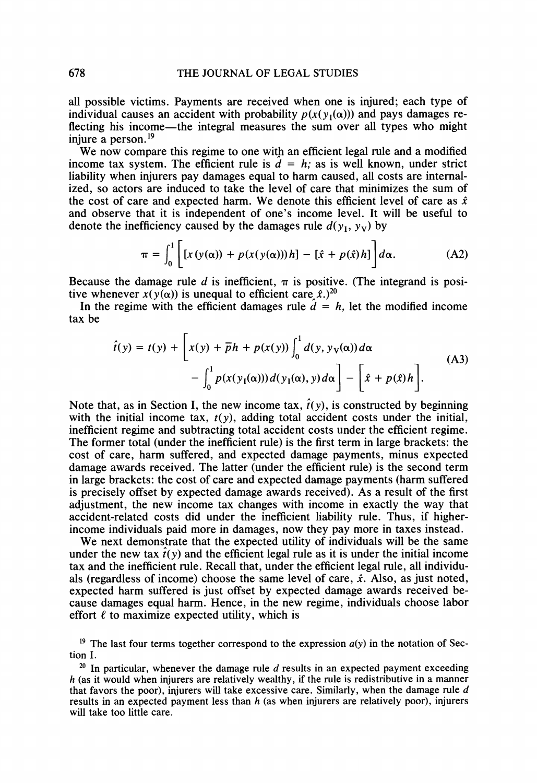**all possible victims. Payments are received when one is injured; each type of**  individual causes an accident with probability  $p(x(y_i(\alpha)))$  and pays damages re**flecting his income-the integral measures the sum over all types who might injure a person.19** 

**We now compare this regime to one with an efficient legal rule and a modified**  income tax system. The efficient rule is  $d = h$ ; as is well known, under strict **liability when injurers pay damages equal to harm caused, all costs are internalized, so actors are induced to take the level of care that minimizes the sum of**  the cost of care and expected harm. We denote this efficient level of care as  $\hat{x}$ **and observe that it is independent of one's income level. It will be useful to**  denote the inefficiency caused by the damages rule  $d(y_1, y_1)$  by

$$
\pi = \int_0^1 \left[ [x(y(\alpha)) + p(x(y(\alpha)))h] - [\hat{x} + p(\hat{x})h] \right] d\alpha.
$$
 (A2)

Because the damage rule d is inefficient,  $\pi$  is positive. (The integrand is positive whenever  $x(y(\alpha))$  is unequal to efficient care  $\hat{x}$ .)<sup>20</sup>

In the regime with the efficient damages rule  $\hat{d} = h$ , let the modified income **tax be** 

$$
\hat{t}(y) = t(y) + \left[x(y) + \overline{p}h + p(x(y))\int_0^1 d(y, y_\mathbf{V}(\alpha)) d\alpha - \int_0^1 p(x(y_1(\alpha)))d(y_1(\alpha), y) d\alpha\right] - \left[\hat{x} + p(\hat{x})h\right].
$$
\n(A3)

Note that, as in Section I, the new income tax,  $\hat{t}(y)$ , is constructed by beginning with the initial income tax,  $t(y)$ , adding total accident costs under the initial, **inefficient regime and subtracting total accident costs under the efficient regime. The former total (under the inefficient rule) is the first term in large brackets: the cost of care, harm suffered, and expected damage payments, minus expected damage awards received. The latter (under the efficient rule) is the second term in large brackets: the cost of care and expected damage payments (harm suffered is precisely offset by expected damage awards received). As a result of the first adjustment, the new income tax changes with income in exactly the way that accident-related costs did under the inefficient liability rule. Thus, if higherincome individuals paid more in damages, now they pay more in taxes instead.** 

**We next demonstrate that the expected utility of individuals will be the same**  under the new tax  $\hat{t}(y)$  and the efficient legal rule as it is under the initial income **tax and the inefficient rule. Recall that, under the efficient legal rule, all individuals (regardless of income) choose the same level of care, x. Also, as just noted, expected harm suffered is just offset by expected damage awards received because damages equal harm. Hence, in the new regime, individuals choose labor**  effort  $\ell$  to maximize expected utility, which is

<sup>19</sup> The last four terms together correspond to the expression  $a(y)$  in the notation of Sec**tion I.** 

<sup>20</sup> In particular, whenever the damage rule d results in an expected payment exceeding **h (as it would when injurers are relatively wealthy, if the rule is redistributive in a manner that favors the poor), injurers will take excessive care. Similarly, when the damage rule d results in an expected payment less than h (as when injurers are relatively poor), injurers will take too little care.**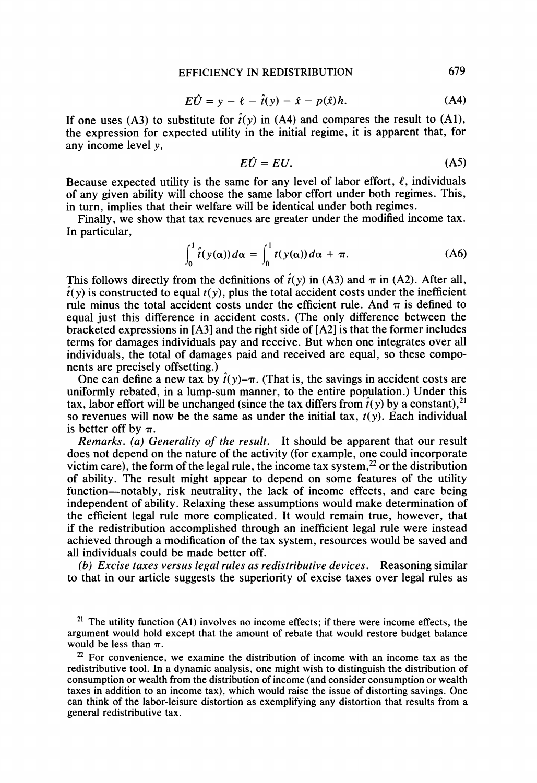$$
E\hat{U} = y - \ell - \hat{t}(y) - \hat{x} - p(\hat{x})h. \tag{A4}
$$

If one uses (A3) to substitute for  $\hat{t}(y)$  in (A4) and compares the result to (A1), **the expression for expected utility in the initial regime, it is apparent that, for any income level y,** 

$$
E\hat{U} = EU. \tag{A5}
$$

Because expected utility is the same for any level of labor effort,  $\ell$ , individuals **of any given ability will choose the same labor effort under both regimes. This, in turn, implies that their welfare will be identical under both regimes.** 

**Finally, we show that tax revenues are greater under the modified income tax. In particular,** 

$$
\int_0^1 \hat{t}(y(\alpha))\,d\alpha = \int_0^1 t(y(\alpha))\,d\alpha + \pi. \tag{A6}
$$

This follows directly from the definitions of  $\hat{t}(y)$  in (A3) and  $\pi$  in (A2). After all,  $\hat{t}(y)$  is constructed to equal  $t(y)$ , plus the total accident costs under the inefficient rule minus the total accident costs under the efficient rule. And  $\pi$  is defined to **equal just this difference in accident costs. (The only difference between the bracketed expressions in [A3] and the right side of [A2] is that the former includes terms for damages individuals pay and receive. But when one integrates over all individuals, the total of damages paid and received are equal, so these components are precisely offsetting.)** 

One can define a new tax by  $\hat{t}(y)$ - $\pi$ . (That is, the savings in accident costs are **uniformly rebated, in a lump-sum manner, to the entire population.) Under this**  tax, labor effort will be unchanged (since the tax differs from  $\hat{t}(y)$  by a constant),<sup>21</sup> so revenues will now be the same as under the initial tax,  $t(y)$ . Each individual is better off by  $\pi$ .

**Remarks. (a) Generality of the result. It should be apparent that our result does not depend on the nature of the activity (for example, one could incorporate**  victim care), the form of the legal rule, the income tax system,<sup>22</sup> or the distribution **of ability. The result might appear to depend on some features of the utility function-notably, risk neutrality, the lack of income effects, and care being independent of ability. Relaxing these assumptions would make determination of the efficient legal rule more complicated. It would remain true, however, that if the redistribution accomplished through an inefficient legal rule were instead achieved through a modification of the tax system, resources would be saved and all individuals could be made better off.** 

**(b) Excise taxes versus legal rules as redistributive devices. Reasoning similar to that in our article suggests the superiority of excise taxes over legal rules as** 

**21 The utility function (A1) involves no income effects; if there were income effects, the argument would hold except that the amount of rebate that would restore budget balance**  would be less than  $\pi$ .

**22 For convenience, we examine the distribution of income with an income tax as the redistributive tool. In a dynamic analysis, one might wish to distinguish the distribution of consumption or wealth from the distribution of income (and consider consumption or wealth taxes in addition to an income tax), which would raise the issue of distorting savings. One can think of the labor-leisure distortion as exemplifying any distortion that results from a general redistributive tax.**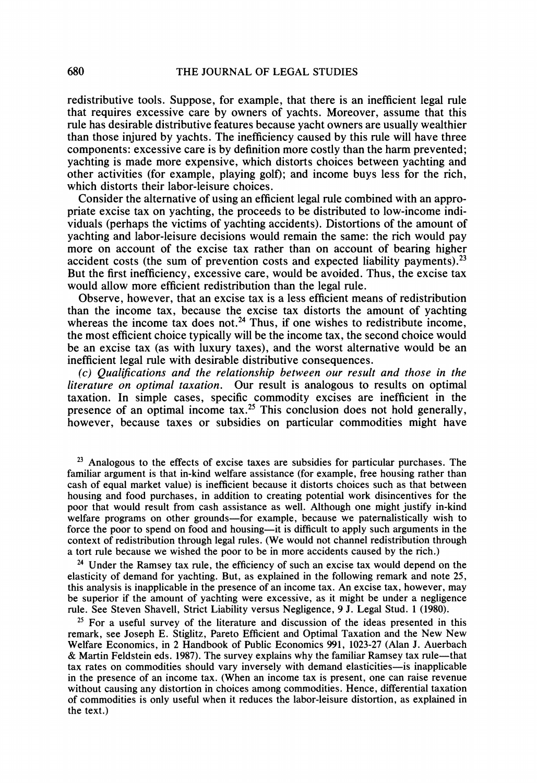**redistributive tools. Suppose, for example, that there is an inefficient legal rule that requires excessive care by owners of yachts. Moreover, assume that this rule has desirable distributive features because yacht owners are usually wealthier than those injured by yachts. The inefficiency caused by this rule will have three components: excessive care is by definition more costly than the harm prevented; yachting is made more expensive, which distorts choices between yachting and other activities (for example, playing golf); and income buys less for the rich, which distorts their labor-leisure choices.** 

**Consider the alternative of using an efficient legal rule combined with an appropriate excise tax on yachting, the proceeds to be distributed to low-income individuals (perhaps the victims of yachting accidents). Distortions of the amount of yachting and labor-leisure decisions would remain the same: the rich would pay more on account of the excise tax rather than on account of bearing higher accident costs (the sum of prevention costs and expected liability payments).23 But the first inefficiency, excessive care, would be avoided. Thus, the excise tax would allow more efficient redistribution than the legal rule.** 

**Observe, however, that an excise tax is a less efficient means of redistribution than the income tax, because the excise tax distorts the amount of yachting**  whereas the income tax does not.<sup>24</sup> Thus, if one wishes to redistribute income, **the most efficient choice typically will be the income tax, the second choice would be an excise tax (as with luxury taxes), and the worst alternative would be an inefficient legal rule with desirable distributive consequences.** 

**(c) Qualifications and the relationship between our result and those in the literature on optimal taxation. Our result is analogous to results on optimal taxation. In simple cases, specific commodity excises are inefficient in the presence of an optimal income tax.25 This conclusion does not hold generally, however, because taxes or subsidies on particular commodities might have** 

**23 Analogous to the effects of excise taxes are subsidies for particular purchases. The familiar argument is that in-kind welfare assistance (for example, free housing rather than cash of equal market value) is inefficient because it distorts choices such as that between housing and food purchases, in addition to creating potential work disincentives for the poor that would result from cash assistance as well. Although one might justify in-kind**  welfare programs on other grounds-for example, because we paternalistically wish to force the poor to spend on food and housing—it is difficult to apply such arguments in the **context of redistribution through legal rules. (We would not channel redistribution through a tort rule because we wished the poor to be in more accidents caused by the rich.)** 

**24 Under the Ramsey tax rule, the efficiency of such an excise tax would depend on the elasticity of demand for yachting. But, as explained in the following remark and note 25, this analysis is inapplicable in the presence of an income tax. An excise tax, however, may be superior if the amount of yachting were excessive, as it might be under a negligence rule. See Steven Shavell, Strict Liability versus Negligence, 9 J. Legal Stud. 1 (1980).** 

**25 For a useful survey of the literature and discussion of the ideas presented in this remark, see Joseph E. Stiglitz, Pareto Efficient and Optimal Taxation and the New New Welfare Economics, in 2 Handbook of Public Economics 991, 1023-27 (Alan J. Auerbach & Martin Feldstein eds. 1987). The survey explains why the familiar Ramsey tax rule-that**  tax rates on commodities should vary inversely with demand elasticities—is inapplicable **in the presence of an income tax. (When an income tax is present, one can raise revenue without causing any distortion in choices among commodities. Hence, differential taxation of commodities is only useful when it reduces the labor-leisure distortion, as explained in the text.)**